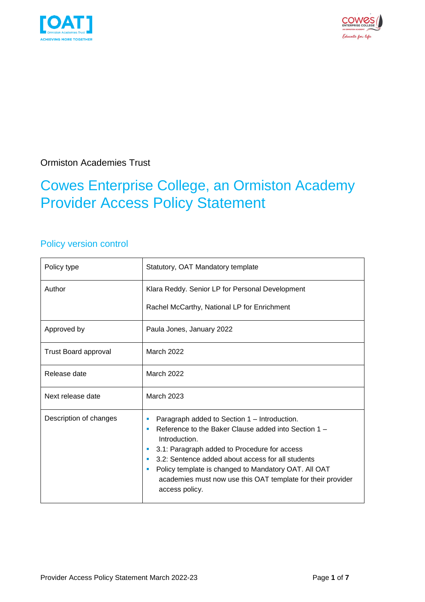



Ormiston Academies Trust

### Cowes Enterprise College, an Ormiston Academy Provider Access Policy Statement

### Policy version control

| Policy type                 | Statutory, OAT Mandatory template                                                                                                                                                                                                                                                                                                                                                  |  |
|-----------------------------|------------------------------------------------------------------------------------------------------------------------------------------------------------------------------------------------------------------------------------------------------------------------------------------------------------------------------------------------------------------------------------|--|
| Author                      | Klara Reddy. Senior LP for Personal Development<br>Rachel McCarthy, National LP for Enrichment                                                                                                                                                                                                                                                                                     |  |
| Approved by                 | Paula Jones, January 2022                                                                                                                                                                                                                                                                                                                                                          |  |
| <b>Trust Board approval</b> | March 2022                                                                                                                                                                                                                                                                                                                                                                         |  |
| Release date                | March 2022                                                                                                                                                                                                                                                                                                                                                                         |  |
| Next release date           | March 2023                                                                                                                                                                                                                                                                                                                                                                         |  |
| Description of changes      | Paragraph added to Section 1 – Introduction.<br>ш<br>Reference to the Baker Clause added into Section 1 -<br>٠<br>Introduction.<br>3.1: Paragraph added to Procedure for access<br>×<br>3.2: Sentence added about access for all students<br>Policy template is changed to Mandatory OAT. All OAT<br>academies must now use this OAT template for their provider<br>access policy. |  |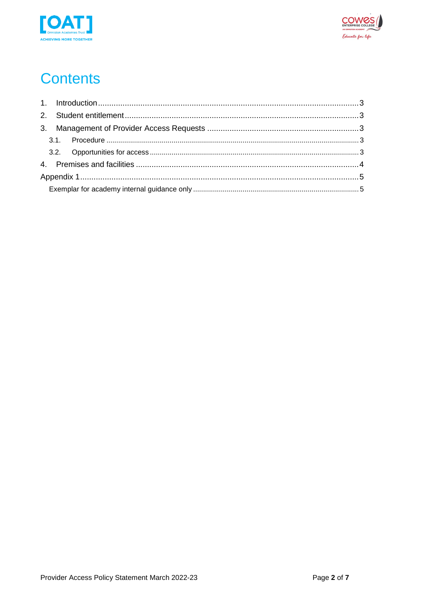



# **Contents**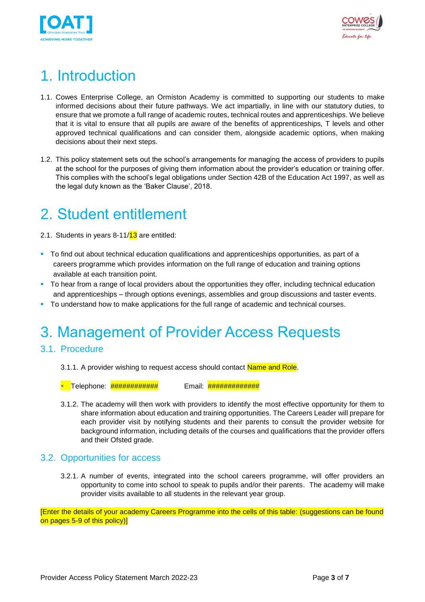



## <span id="page-2-0"></span>1. Introduction

- 1.1. Cowes Enterprise College, an Ormiston Academy is committed to supporting our students to make informed decisions about their future pathways. We act impartially, in line with our statutory duties, to ensure that we promote a full range of academic routes, technical routes and apprenticeships. We believe that it is vital to ensure that all pupils are aware of the benefits of apprenticeships, T levels and other approved technical qualifications and can consider them, alongside academic options, when making decisions about their next steps.
- 1.2. This policy statement sets out the school's arrangements for managing the access of providers to pupils at the school for the purposes of giving them information about the provider's education or training offer. This complies with the school's legal obligations under Section 42B of the Education Act 1997, as well as the legal duty known as the 'Baker Clause', 2018.

### <span id="page-2-1"></span>2. Student entitlement

- 2.1. Students in years  $8-11/13$  are entitled:
- To find out about technical education qualifications and apprenticeships opportunities, as part of a careers programme which provides information on the full range of education and training options available at each transition point.
- To hear from a range of local providers about the opportunities they offer, including technical education and apprenticeships – through options evenings, assemblies and group discussions and taster events.
- To understand how to make applications for the full range of academic and technical courses.

## <span id="page-2-2"></span>3. Management of Provider Access Requests

#### <span id="page-2-3"></span>3.1. Procedure

3.1.1. A provider wishing to request access should contact Name and Role.

▪ Telephone: ############ Email: #############

3.1.2. The academy will then work with providers to identify the most effective opportunity for them to share information about education and training opportunities. The Careers Leader will prepare for each provider visit by notifying students and their parents to consult the provider website for background information, including details of the courses and qualifications that the provider offers and their Ofsted grade.

#### <span id="page-2-4"></span>3.2. Opportunities for access

3.2.1. A number of events, integrated into the school careers programme, will offer providers an opportunity to come into school to speak to pupils and/or their parents. The academy will make provider visits available to all students in the relevant year group.

[Enter the details of your academy Careers Programme into the cells of this table: (suggestions can be found on pages 5-9 of this policy)]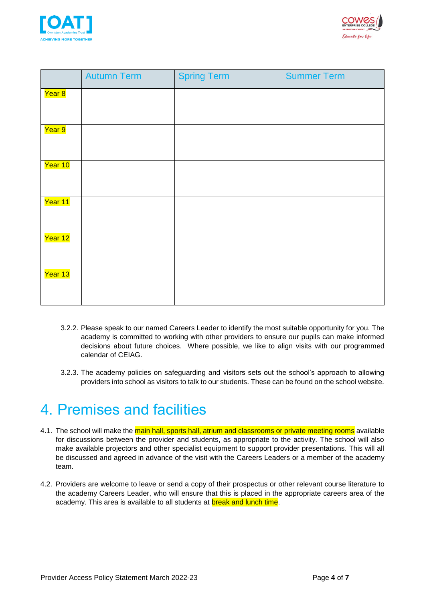



|                     | <b>Autumn Term</b> | <b>Spring Term</b> | <b>Summer Term</b> |
|---------------------|--------------------|--------------------|--------------------|
| <mark>Year 8</mark> |                    |                    |                    |
| Year 9              |                    |                    |                    |
| Year 10             |                    |                    |                    |
| Year 11             |                    |                    |                    |
| Year 12             |                    |                    |                    |
| Year 13             |                    |                    |                    |

- 3.2.2. Please speak to our named Careers Leader to identify the most suitable opportunity for you. The academy is committed to working with other providers to ensure our pupils can make informed decisions about future choices. Where possible, we like to align visits with our programmed calendar of CEIAG.
- 3.2.3. The academy policies on safeguarding and visitors sets out the school's approach to allowing providers into school as visitors to talk to our students. These can be found on the school website.

### <span id="page-3-0"></span>4. Premises and facilities

- 4.1. The school will make the main hall, sports hall, atrium and classrooms or private meeting rooms available for discussions between the provider and students, as appropriate to the activity. The school will also make available projectors and other specialist equipment to support provider presentations. This will all be discussed and agreed in advance of the visit with the Careers Leaders or a member of the academy team.
- 4.2. Providers are welcome to leave or send a copy of their prospectus or other relevant course literature to the academy Careers Leader, who will ensure that this is placed in the appropriate careers area of the academy. This area is available to all students at **break and lunch time**.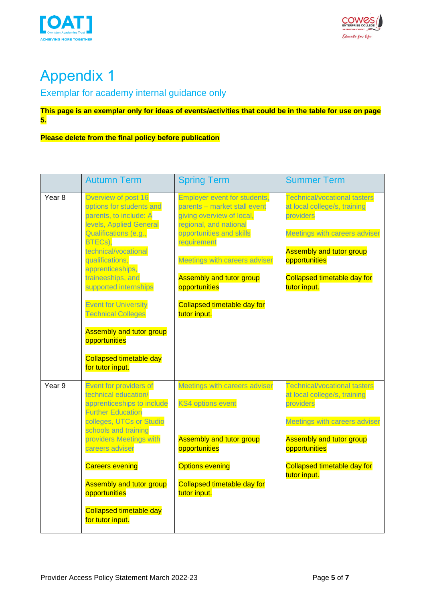



# <span id="page-4-0"></span>Appendix 1

### <span id="page-4-1"></span>Exemplar for academy internal guidance only

#### **This page is an exemplar only for ideas of events/activities that could be in the table for use on page 5.**

#### **Please delete from the final policy before publication**

|                   | <b>Autumn Term</b>                                                                                                                                                                                                                                                                                                                                                                                                          | <b>Spring Term</b>                                                                                                                                                                                                                                                                                               | <b>Summer Term</b>                                                                                                                                                                                                          |
|-------------------|-----------------------------------------------------------------------------------------------------------------------------------------------------------------------------------------------------------------------------------------------------------------------------------------------------------------------------------------------------------------------------------------------------------------------------|------------------------------------------------------------------------------------------------------------------------------------------------------------------------------------------------------------------------------------------------------------------------------------------------------------------|-----------------------------------------------------------------------------------------------------------------------------------------------------------------------------------------------------------------------------|
| Year <sub>8</sub> | Overview of post 16<br>options for students and<br>parents, to include: A<br>levels, Applied General<br>Qualifications (e.g.,<br>BTECs),<br>technical/vocational<br>qualifications,<br>apprenticeships,<br>traineeships, and<br>supported internships<br><b>Event for University</b><br><b>Technical Colleges</b><br><b>Assembly and tutor group</b><br>opportunities<br><b>Collapsed timetable day</b><br>for tutor input. | <b>Employer event for students,</b><br>parents - market stall event<br>giving overview of local,<br>regional, and national<br>opportunities and skills<br>requirement<br>Meetings with careers adviser<br><b>Assembly and tutor group</b><br>opportunities<br><b>Collapsed timetable day for</b><br>tutor input. | <b>Technical/vocational tasters</b><br>at local college/s, training<br>providers<br>Meetings with careers adviser<br><b>Assembly and tutor group</b><br>opportunities<br><b>Collapsed timetable day for</b><br>tutor input. |
| Year 9            | Event for providers of<br>technical education/<br>apprenticeships to include<br><b>Further Education</b><br>colleges, UTCs or Studio<br>schools and training<br>providers Meetings with<br>careers adviser<br><b>Careers evening</b><br><b>Assembly and tutor group</b><br>opportunities<br><b>Collapsed timetable day</b><br>for tutor input.                                                                              | Meetings with careers adviser<br><b>KS4 options event</b><br><b>Assembly and tutor group</b><br>opportunities<br><b>Options evening</b><br>Collapsed timetable day for<br>tutor input.                                                                                                                           | <b>Technical/vocational tasters</b><br>at local college/s, training<br>providers<br>Meetings with careers adviser<br><b>Assembly and tutor group</b><br>opportunities<br><b>Collapsed timetable day for</b><br>tutor input. |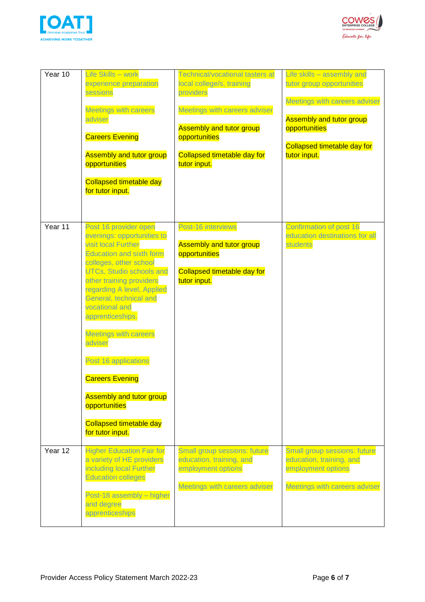



| Year 10 | Life Skills - work<br>experience preparation<br>sessions<br><b>Meetings with careers</b><br>adviser<br><b>Careers Evening</b><br><b>Assembly and tutor group</b><br>opportunities<br><b>Collapsed timetable day</b><br>for tutor input.                                                                                                                                                                                                                                                                     | <b>Technical/vocational tasters at</b><br>local college/s, training<br>providers<br>Meetings with careers adviser<br><b>Assembly and tutor group</b><br>opportunities<br><b>Collapsed timetable day for</b><br>tutor input. | Life skills - assembly and<br>tutor group opportunities<br>Meetings with careers adviser<br><b>Assembly and tutor group</b><br>opportunities<br><b>Collapsed timetable day for</b><br>tutor input. |
|---------|-------------------------------------------------------------------------------------------------------------------------------------------------------------------------------------------------------------------------------------------------------------------------------------------------------------------------------------------------------------------------------------------------------------------------------------------------------------------------------------------------------------|-----------------------------------------------------------------------------------------------------------------------------------------------------------------------------------------------------------------------------|----------------------------------------------------------------------------------------------------------------------------------------------------------------------------------------------------|
| Year 11 | Post 16 provider open<br>evenings: opportunities to<br>visit local Further<br><b>Education and sixth form</b><br>colleges, other school<br><b>UTCs, Studio schools and</b><br>other training providers<br>regarding A level, Applied<br>General, technical and<br>vocational and<br>apprenticeships.<br><b>Meetings with careers</b><br>adviser<br>Post 16 applications<br><b>Careers Evening</b><br><b>Assembly and tutor group</b><br>opportunities<br><b>Collapsed timetable day</b><br>for tutor input. | Post-16 interviews<br><b>Assembly and tutor group</b><br>opportunities<br><b>Collapsed timetable day for</b><br>tutor input.                                                                                                | Confirmation of post 16<br>education destinations for all<br>students                                                                                                                              |
| Year 12 | <b>Higher Education Fair for</b><br>a variety of HE providers<br>including local Further<br><b>Education colleges</b><br>Post-18 assembly - higher<br>and degree<br>apprenticeships                                                                                                                                                                                                                                                                                                                         | Small group sessions: future<br>education, training, and<br>employment options<br>Meetings with careers adviser                                                                                                             | Small group sessions: future<br>education, training, and<br>employment options<br>Meetings with careers adviser                                                                                    |